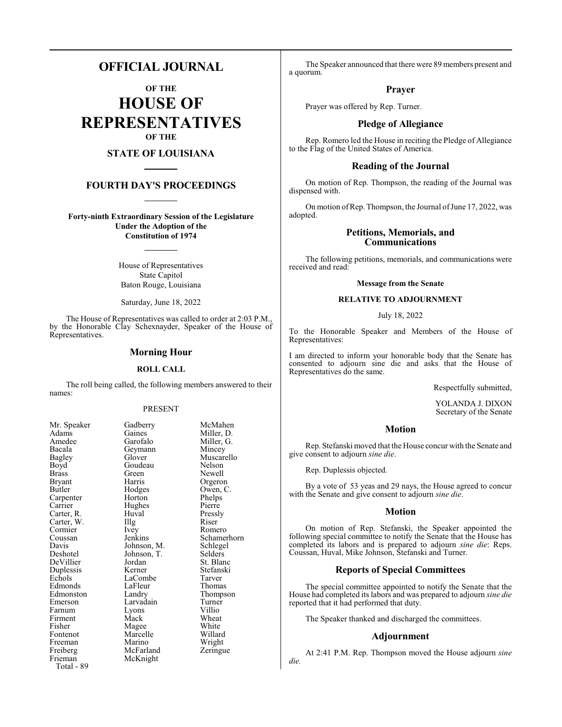# **OFFICIAL JOURNAL**

**OF THE HOUSE OF REPRESENTATIVES OF THE**

## **STATE OF LOUISIANA**

## **FOURTH DAY'S PROCEEDINGS**

**Forty-ninth Extraordinary Session of the Legislature Under the Adoption of the Constitution of 1974**

> House of Representatives State Capitol Baton Rouge, Louisiana

Saturday, June 18, 2022

The House of Representatives was called to order at 2:03 P.M., by the Honorable Clay Schexnayder, Speaker of the House of Representatives.

## **Morning Hour**

#### **ROLL CALL**

The roll being called, the following members answered to their names:

#### PRESENT

Goudeau

Hughes<br>Huval

Johnson, T.<br>Jordan

LaFleur<br>Landrv

Marino

McKnight

| ічі. әреакеі  |
|---------------|
| Adams         |
| Amedee        |
| Bacala        |
| Bagley        |
| Boyd          |
| <b>Brass</b>  |
| Bryant        |
| Butler        |
| Carpenter     |
| Carrier       |
| Carter, R.    |
| Carter, W.    |
| Cormier       |
| Coussan       |
| Davis         |
| Deshotel      |
| DeVillier     |
| Duplessis     |
| Echols        |
| Edmonds       |
| Edmonston     |
| Emerson       |
| Farnum        |
| Firment       |
| Fisher        |
| Fontenot      |
| Freeman       |
| Freiberg      |
| Frieman       |
| Total -<br>89 |
|               |

Mr. Speaker Gadberry McMahen<br>Adams Gaines Miller, D. Gaines Miller, D.<br>Garofalo Miller, G. Miller, G. Geymann Mincey<br>Glover Muscare Muscarello<br>Nelson Green Newell<br>Harris Orgero Harris Orgeron<br>Hodges Owen, C Hodges Owen, C.<br>Horton Phelps Phelps<br>Pierre Pressly Carter, W. Illg Riser Ivey Romero<br>
Ienkins Schame Schamerhorn<br>Schlegel Johnson, M. Schlege<br>Johnson, T. Selders Jordan St. Blanc<br>Kerner Stefanski **Stefanski** LaCombe Tarver<br>
LaFleur Thomas Thompson Larvadain Turner<br>
Lyons Villio Lyons Villio<br>
Mack Wheat Firment Mack Wheat Magee White<br>Marcelle Willard Marcelle Willard<br>
Marino Wright McFarland Zeringue

The Speaker announced that there were 89 members present and a quorum.

## **Prayer**

Prayer was offered by Rep. Turner.

## **Pledge of Allegiance**

Rep. Romero led the House in reciting the Pledge of Allegiance to the Flag of the United States of America.

## **Reading of the Journal**

On motion of Rep. Thompson, the reading of the Journal was dispensed with.

On motion of Rep. Thompson, the Journal of June 17, 2022, was adopted.

## **Petitions, Memorials, and Communications**

The following petitions, memorials, and communications were received and read:

#### **Message from the Senate**

#### **RELATIVE TO ADJOURNMENT**

#### July 18, 2022

To the Honorable Speaker and Members of the House of Representatives:

I am directed to inform your honorable body that the Senate has consented to adjourn sine die and asks that the House of Representatives do the same.

Respectfully submitted,

YOLANDA J. DIXON Secretary of the Senate

#### **Motion**

Rep. Stefanski moved that the House concur with the Senate and give consent to adjourn *sine die*.

Rep. Duplessis objected.

By a vote of 53 yeas and 29 nays, the House agreed to concur with the Senate and give consent to adjourn *sine die*.

#### **Motion**

On motion of Rep. Stefanski, the Speaker appointed the following special committee to notify the Senate that the House has completed its labors and is prepared to adjourn *sine die*: Reps. Coussan, Huval, Mike Johnson, Stefanski and Turner.

## **Reports of Special Committees**

The special committee appointed to notify the Senate that the House had completed its labors and was prepared to adjourn *sine die* reported that it had performed that duty.

The Speaker thanked and discharged the committees.

#### **Adjournment**

At 2:41 P.M. Rep. Thompson moved the House adjourn *sine die.*